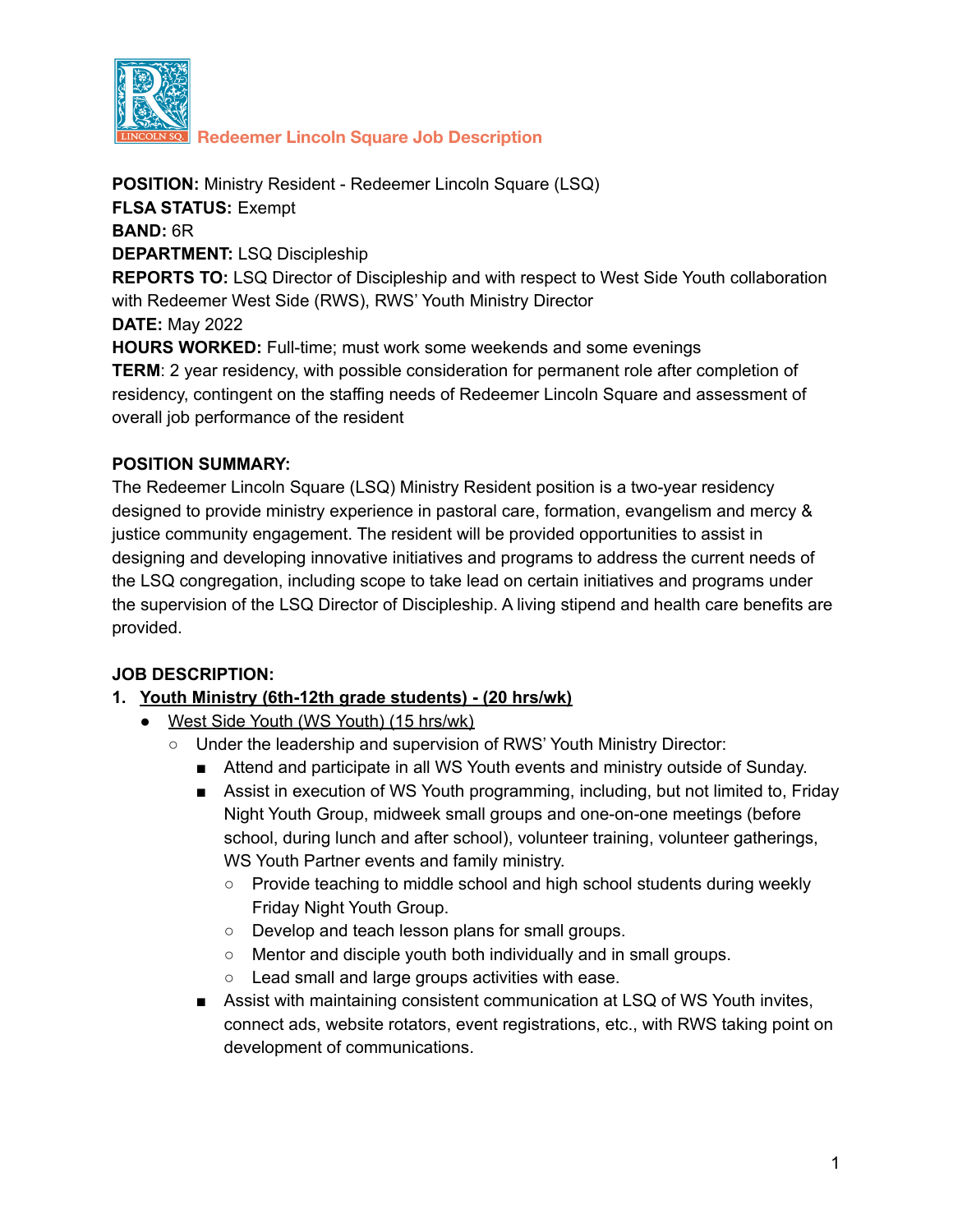

**Redeemer Lincoln Square Job Description**

**POSITION:** Ministry Resident - Redeemer Lincoln Square (LSQ) **FLSA STATUS:** Exempt **BAND:** 6R **DEPARTMENT:** LSQ Discipleship **REPORTS TO:** LSQ Director of Discipleship and with respect to West Side Youth collaboration with Redeemer West Side (RWS), RWS' Youth Ministry Director **DATE:** May 2022 **HOURS WORKED:** Full-time; must work some weekends and some evenings **TERM**: 2 year residency, with possible consideration for permanent role after completion of residency, contingent on the staffing needs of Redeemer Lincoln Square and assessment of overall job performance of the resident

#### **POSITION SUMMARY:**

The Redeemer Lincoln Square (LSQ) Ministry Resident position is a two-year residency designed to provide ministry experience in pastoral care, formation, evangelism and mercy & justice community engagement. The resident will be provided opportunities to assist in designing and developing innovative initiatives and programs to address the current needs of the LSQ congregation, including scope to take lead on certain initiatives and programs under the supervision of the LSQ Director of Discipleship. A living stipend and health care benefits are provided.

### **JOB DESCRIPTION:**

### **1. Youth Ministry (6th-12th grade students) - (20 hrs/wk)**

- **●** West Side Youth (WS Youth) (15 hrs/wk)
	- Under the leadership and supervision of RWS' Youth Ministry Director:
		- Attend and participate in all WS Youth events and ministry outside of Sunday.
		- Assist in execution of WS Youth programming, including, but not limited to, Friday Night Youth Group, midweek small groups and one-on-one meetings (before school, during lunch and after school), volunteer training, volunteer gatherings, WS Youth Partner events and family ministry.
			- Provide teaching to middle school and high school students during weekly Friday Night Youth Group.
			- Develop and teach lesson plans for small groups.
			- Mentor and disciple youth both individually and in small groups.
			- Lead small and large groups activities with ease.
		- Assist with maintaining consistent communication at LSQ of WS Youth invites, connect ads, website rotators, event registrations, etc., with RWS taking point on development of communications.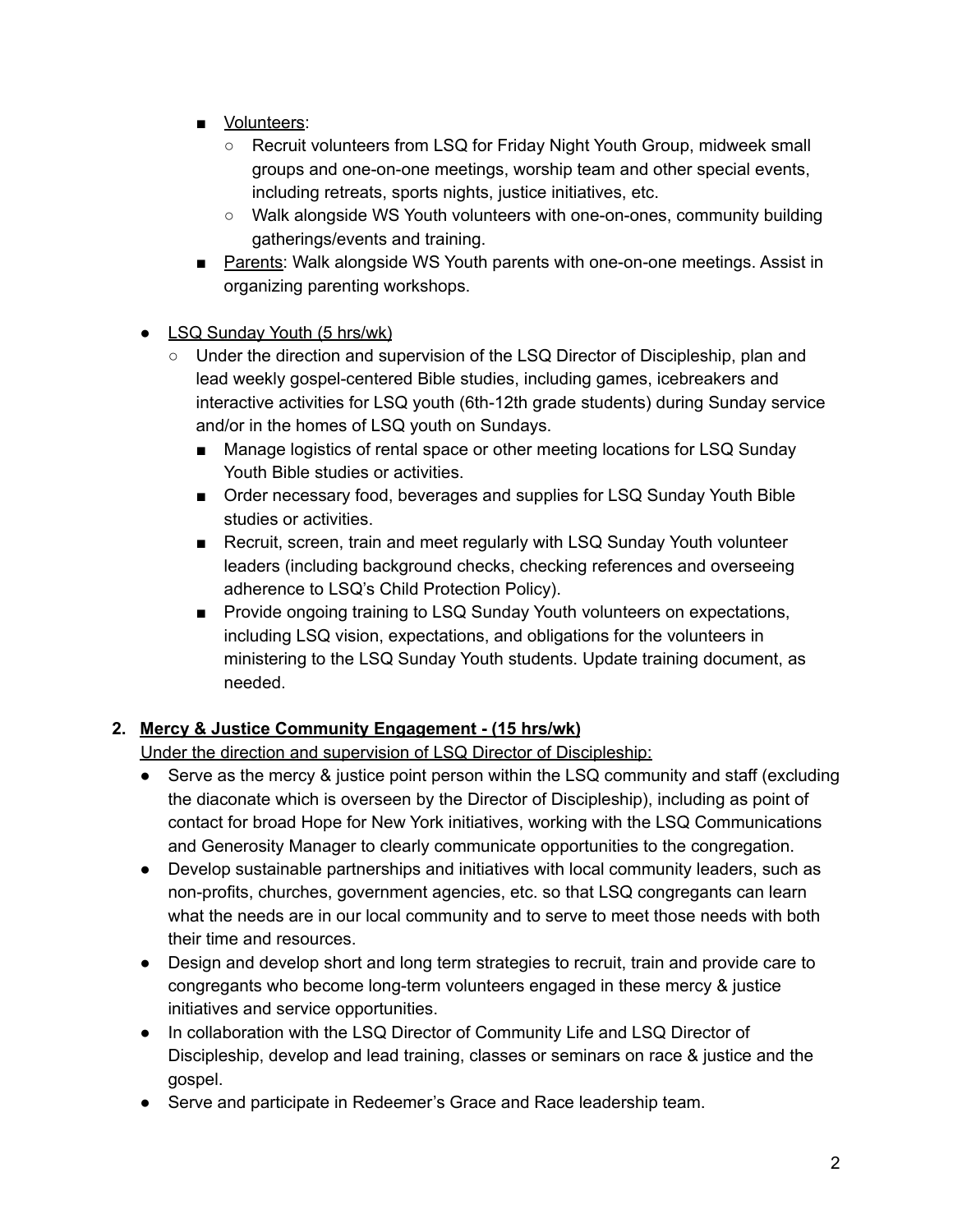- Volunteers:
	- Recruit volunteers from LSQ for Friday Night Youth Group, midweek small groups and one-on-one meetings, worship team and other special events, including retreats, sports nights, justice initiatives, etc.
	- Walk alongside WS Youth volunteers with one-on-ones, community building gatherings/events and training.
- Parents: Walk alongside WS Youth parents with one-on-one meetings. Assist in organizing parenting workshops.
- **●** LSQ Sunday Youth (5 hrs/wk)
	- Under the direction and supervision of the LSQ Director of Discipleship, plan and lead weekly gospel-centered Bible studies, including games, icebreakers and interactive activities for LSQ youth (6th-12th grade students) during Sunday service and/or in the homes of LSQ youth on Sundays.
		- Manage logistics of rental space or other meeting locations for LSQ Sunday Youth Bible studies or activities.
		- Order necessary food, beverages and supplies for LSQ Sunday Youth Bible studies or activities.
		- Recruit, screen, train and meet regularly with LSQ Sunday Youth volunteer leaders (including background checks, checking references and overseeing adherence to LSQ's Child Protection Policy).
		- Provide ongoing training to LSQ Sunday Youth volunteers on expectations, including LSQ vision, expectations, and obligations for the volunteers in ministering to the LSQ Sunday Youth students. Update training document, as needed.

# **2. Mercy & Justice Community Engagement - (15 hrs/wk)**

Under the direction and supervision of LSQ Director of Discipleship:

- **●** Serve as the mercy & justice point person within the LSQ community and staff (excluding the diaconate which is overseen by the Director of Discipleship), including as point of contact for broad Hope for New York initiatives, working with the LSQ Communications and Generosity Manager to clearly communicate opportunities to the congregation.
- Develop sustainable partnerships and initiatives with local community leaders, such as non-profits, churches, government agencies, etc. so that LSQ congregants can learn what the needs are in our local community and to serve to meet those needs with both their time and resources.
- Design and develop short and long term strategies to recruit, train and provide care to congregants who become long-term volunteers engaged in these mercy & justice initiatives and service opportunities.
- In collaboration with the LSQ Director of Community Life and LSQ Director of Discipleship, develop and lead training, classes or seminars on race & justice and the gospel.
- Serve and participate in Redeemer's Grace and Race leadership team.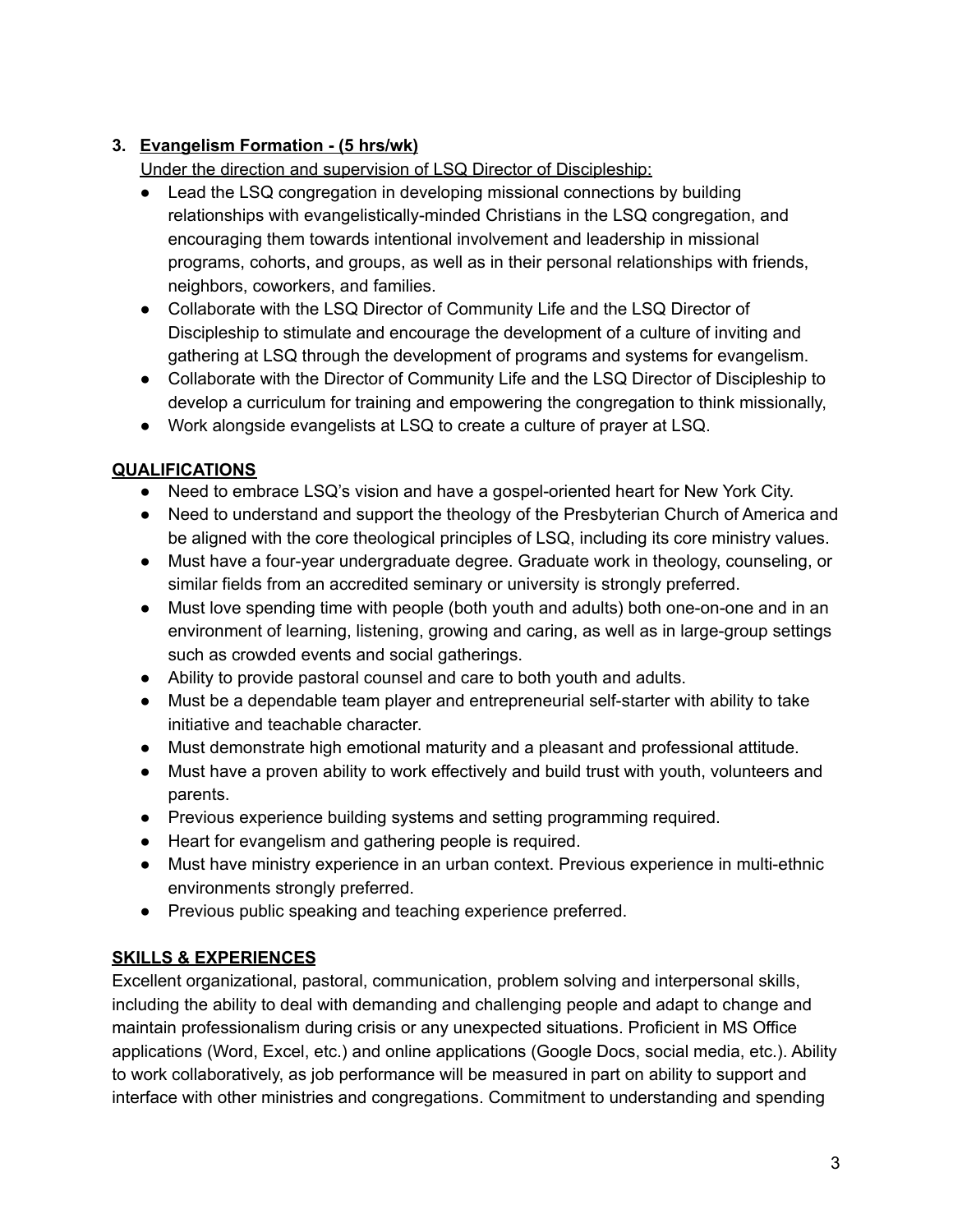# **3. Evangelism Formation - (5 hrs/wk)**

Under the direction and supervision of LSQ Director of Discipleship:

- **●** Lead the LSQ congregation in developing missional connections by building relationships with evangelistically-minded Christians in the LSQ congregation, and encouraging them towards intentional involvement and leadership in missional programs, cohorts, and groups, as well as in their personal relationships with friends, neighbors, coworkers, and families.
- **●** Collaborate with the LSQ Director of Community Life and the LSQ Director of Discipleship to stimulate and encourage the development of a culture of inviting and gathering at LSQ through the development of programs and systems for evangelism.
- **●** Collaborate with the Director of Community Life and the LSQ Director of Discipleship to develop a curriculum for training and empowering the congregation to think missionally,
- Work alongside evangelists at LSQ to create a culture of prayer at LSQ.

## **QUALIFICATIONS**

- Need to embrace LSQ's vision and have a gospel-oriented heart for New York City.
- Need to understand and support the theology of the Presbyterian Church of America and be aligned with the core theological principles of LSQ, including its core ministry values.
- Must have a four-year undergraduate degree. Graduate work in theology, counseling, or similar fields from an accredited seminary or university is strongly preferred.
- Must love spending time with people (both youth and adults) both one-on-one and in an environment of learning, listening, growing and caring, as well as in large-group settings such as crowded events and social gatherings.
- Ability to provide pastoral counsel and care to both youth and adults.
- Must be a dependable team player and entrepreneurial self-starter with ability to take initiative and teachable character.
- Must demonstrate high emotional maturity and a pleasant and professional attitude.
- Must have a proven ability to work effectively and build trust with youth, volunteers and parents.
- Previous experience building systems and setting programming required.
- Heart for evangelism and gathering people is required.
- Must have ministry experience in an urban context. Previous experience in multi-ethnic environments strongly preferred.
- Previous public speaking and teaching experience preferred.

## **SKILLS & EXPERIENCES**

Excellent organizational, pastoral, communication, problem solving and interpersonal skills, including the ability to deal with demanding and challenging people and adapt to change and maintain professionalism during crisis or any unexpected situations. Proficient in MS Office applications (Word, Excel, etc.) and online applications (Google Docs, social media, etc.). Ability to work collaboratively, as job performance will be measured in part on ability to support and interface with other ministries and congregations. Commitment to understanding and spending